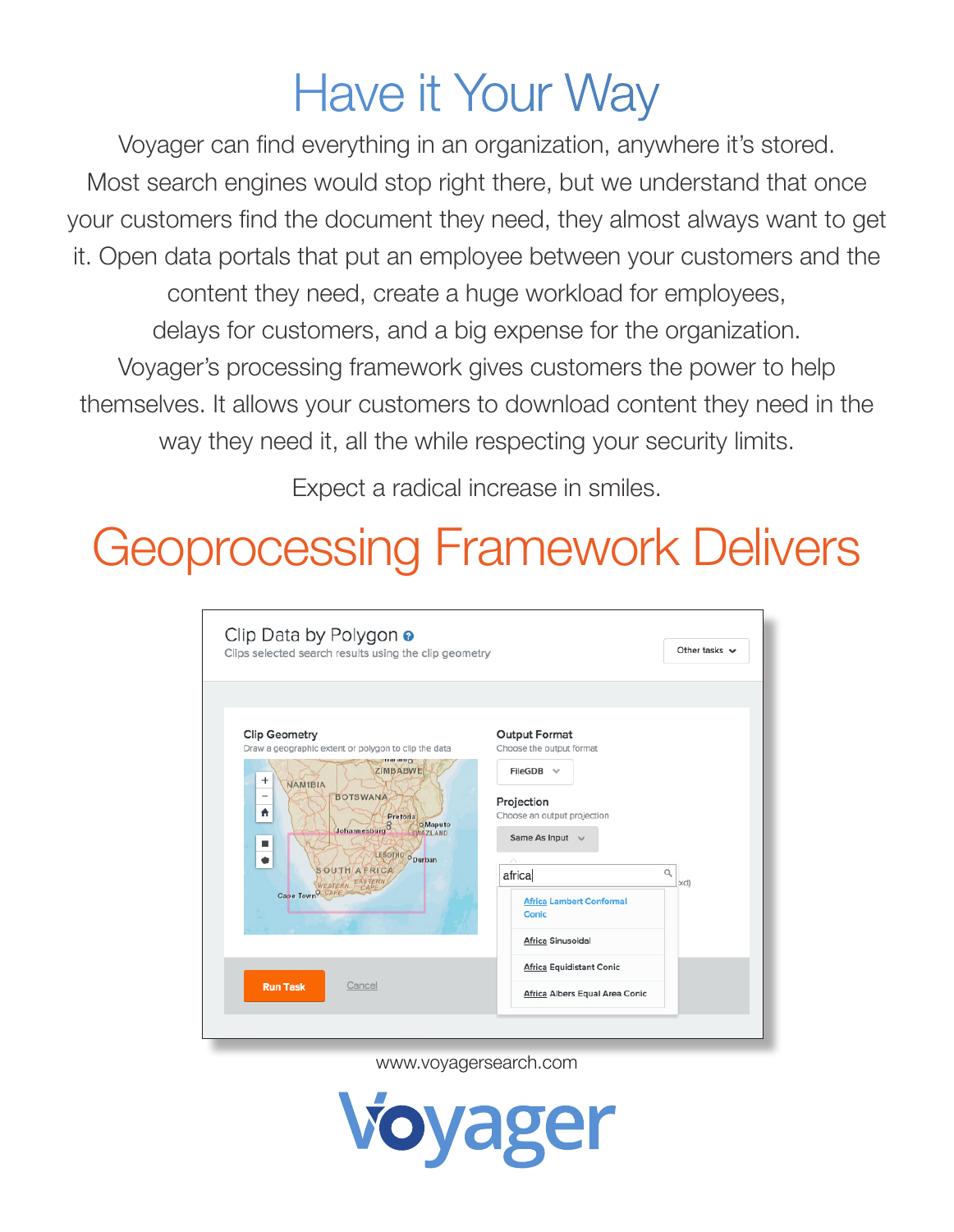## Have it Your Way

Voyager can find everything in an organization, anywhere it's stored. Most search engines would stop right there, but we understand that once your customers find the document they need, they almost always want to get it. Open data portals that put an employee between your customers and the content they need, create a huge workload for employees, delays for customers, and a big expense for the organization. Voyager's processing framework gives customers the power to help themselves. It allows your customers to download content they need in the way they need it, all the while respecting your security limits.

Expect a radical increase in smiles.

## Geoprocessing Framework Delivers

| Clip Data by Polygon o<br>Clips selected search results using the clip geometry                                                                                                                                                                                                                                                                                          |                                                                                                                                                                                                                                      | Other tasks $\vee$ |
|--------------------------------------------------------------------------------------------------------------------------------------------------------------------------------------------------------------------------------------------------------------------------------------------------------------------------------------------------------------------------|--------------------------------------------------------------------------------------------------------------------------------------------------------------------------------------------------------------------------------------|--------------------|
| <b>Clip Geometry</b><br>Draw a geographic extent or polygon to clip the data<br><b>THE HIDD</b><br>ZIMBABWE<br>$\ddot{}$<br><b>NAMIBIA</b><br><b>BOTSWANA</b><br>$\overline{\phantom{a}}$<br>₩<br>Pretoria<br>Johannesburg <sup>8</sup><br><b>O</b> Maputo<br><b>SWAZILAND</b><br>LESOTHO ODurban<br><b>SOUTH AFRICA</b><br>EASTERN<br>WESTERN<br>CARE<br>Cape Town CAPE | <b>Output Format</b><br>Choose the output format<br>$FileGDB \quad \lor$<br>Projection<br>Choose an output projection<br>Same As Input $\vee$<br>Λ<br>africa<br><b>Africa Lambert Conformal</b><br><b>Conic</b><br>Africa Sinusoidal | $\alpha$<br>xd)    |
| Cancel<br><b>Run Task</b>                                                                                                                                                                                                                                                                                                                                                | <b>Africa Equidistant Conic</b><br>Africa Albers Equal Area Conic                                                                                                                                                                    |                    |
|                                                                                                                                                                                                                                                                                                                                                                          |                                                                                                                                                                                                                                      |                    |

www.voyagersearch.com